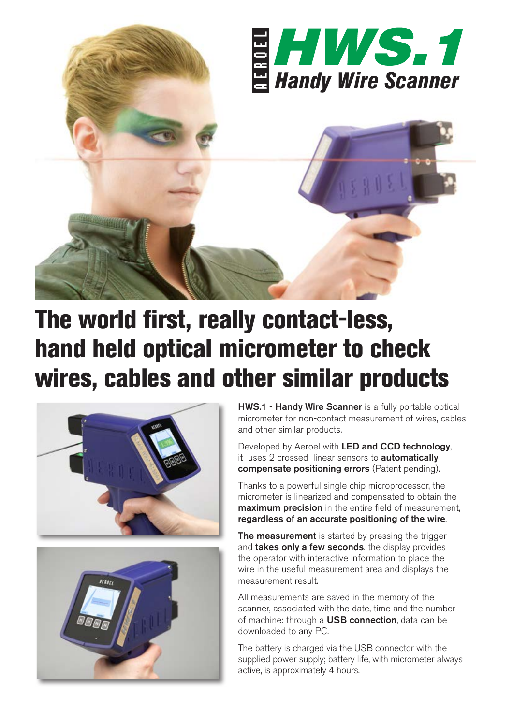

## The world first, really contact-less, hand held optical micrometer to check wires, cables and other similar products





HWS.1 - Handy Wire Scanner is a fully portable optical micrometer for non-contact measurement of wires, cables and other similar products.

Developed by Aeroel with LED and CCD technology, it uses 2 crossed linear sensors to **automatically** compensate positioning errors (Patent pending).

Thanks to a powerful single chip microprocessor, the micrometer is linearized and compensated to obtain the **maximum precision** in the entire field of measurement. regardless of an accurate positioning of the wire.

The measurement is started by pressing the trigger and takes only a few seconds, the display provides the operator with interactive information to place the wire in the useful measurement area and displays the measurement result.

All measurements are saved in the memory of the scanner, associated with the date, time and the number of machine: through a USB connection, data can be downloaded to any PC.

The battery is charged via the USB connector with the supplied power supply; battery life, with micrometer always active, is approximately 4 hours.